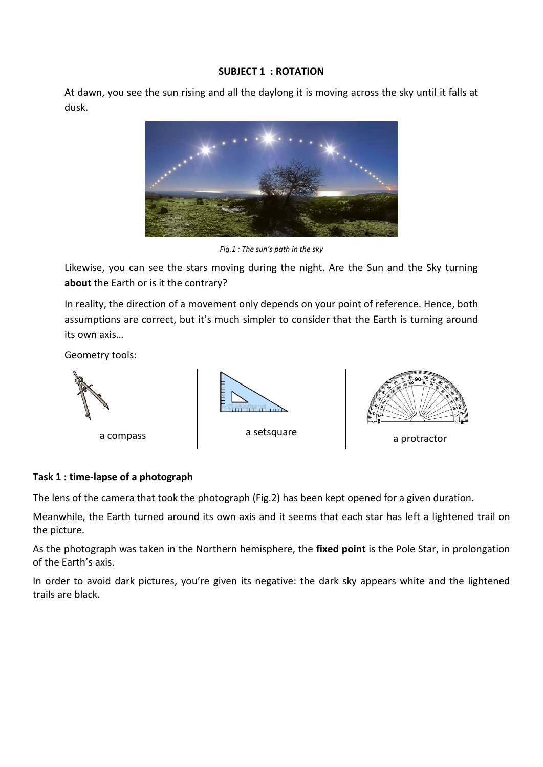#### **SUBJECT 1 : ROTATION**

At dawn, you see the sun rising and all the daylong it is moving across the sky until it falls at dusk.



*Fig.1 : The sun's path in the sky*

Likewise, you can see the stars moving during the night. Are the Sun and the Sky turning **about** the Earth or is it the contrary?

In reality, the direction of a movement only depends on your point of reference. Hence, both assumptions are correct, but it's much simpler to consider that the Earth is turning around its own axis…

Geometry tools:



## **Task 1 : time-lapse of a photograph**

The lens of the camera that took the photograph (Fig.2) has been kept opened for a given duration.

Meanwhile, the Earth turned around its own axis and it seems that each star has left a lightened trail on the picture.

As the photograph was taken in the Northern hemisphere, the **fixed point** is the Pole Star, in prolongation of the Earth's axis.

In order to avoid dark pictures, you're given its negative: the dark sky appears white and the lightened trails are black.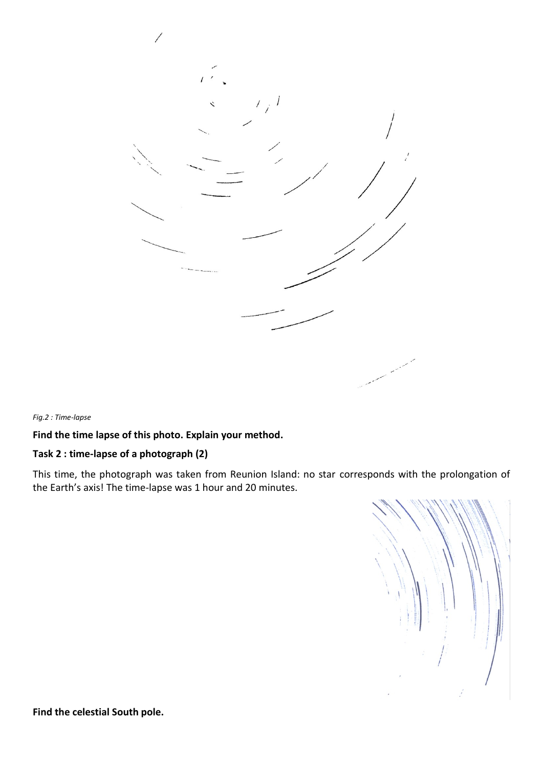

*Fig.2 : Time-lapse*

**Find the time lapse of this photo. Explain your method.**

# **Task 2 : time-lapse of a photograph (2)**

This time, the photograph was taken from Reunion Island: no star corresponds with the prolongation of the Earth's axis! The time-lapse was 1 hour and 20 minutes.



**Find the celestial South pole.**